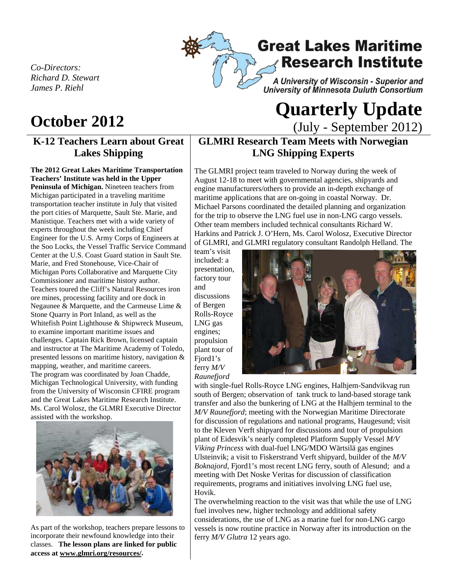*Co-Directors: Richard D. Stewart James P. Riehl*

## **K-12 Teachers Learn about Great Lakes Shipping**

**The 2012 Great Lakes Maritime Transportation Teachers' Institute was held in the Upper Peninsula of Michigan.** Nineteen teachers from Michigan participated in a traveling maritime transportation teacher institute in July that visited the port cities of Marquette, Sault Ste. Marie, and Manistique. Teachers met with a wide variety of experts throughout the week including Chief Engineer for the U.S. Army Corps of Engineers at the Soo Locks, the Vessel Traffic Service Command Center at the U.S. Coast Guard station in Sault Ste. Marie, and Fred Stonehouse, Vice-Chair of Michigan Ports Collaborative and Marquette City Commissioner and maritime history author. Teachers toured the Cliff's Natural Resources iron ore mines, processing facility and ore dock in Negaunee & Marquette, and the Carmeuse Lime & Stone Quarry in Port Inland, as well as the Whitefish Point Lighthouse & Shipwreck Museum, to examine important maritime issues and challenges. Captain Rick Brown, licensed captain and instructor at The Maritime Academy of Toledo, presented lessons on maritime history, navigation & mapping, weather, and maritime careers. The program was coordinated by Joan Chadde, Michigan Technological University, with funding from the University of Wisconsin CFIRE program and the Great Lakes Maritime Research Institute. Ms. Carol Wolosz, the GLMRI Executive Director assisted with the workshop.



As part of the workshop, teachers prepare lessons to incorporate their newfound knowledge into their classes. **The lesson plans are linked for public access at www.glmri.org/resources/.**

# **Great Lakes Maritime Research Institute** A University of Wisconsin - Superior and

University of Minnesota Duluth Consortium

# **October <sup>2012</sup>Quarterly Update**  (July - September 2012)

## **GLMRI Research Team Meets with Norwegian LNG Shipping Experts**

The GLMRI project team traveled to Norway during the week of August 12-18 to meet with governmental agencies, shipyards and engine manufacturers/others to provide an in-depth exchange of maritime applications that are on-going in coastal Norway. Dr. Michael Parsons coordinated the detailed planning and organization for the trip to observe the LNG fuel use in non-LNG cargo vessels. Other team members included technical consultants Richard W. Harkins and Patrick J. O'Hern, Ms. Carol Wolosz, Executive Director of GLMRI, and GLMRI regulatory consultant Randolph Helland. The

team's visit included: a presentation, factory tour and discussions of Bergen Rolls-Royce LNG gas engines; propulsion plant tour of Fjord1's ferry *M/V Raunefjord*



with single-fuel Rolls-Royce LNG engines, Halhjem-Sandvikvag run south of Bergen; observation of tank truck to land-based storage tank transfer and also the bunkering of LNG at the Halhjem terminal to the *M/V Raunefjord*; meeting with the Norwegian Maritime Directorate for discussion of regulations and national programs, Haugesund; visit to the Kleven Verft shipyard for discussions and tour of propulsion plant of Eidesvik's nearly completed Platform Supply Vessel *M/V Viking Princess* with dual-fuel LNG/MDO Wärtsilä gas engines Ulsteinvik; a visit to Fiskerstrand Verft shipyard, builder of the *M/V Boknajord*, Fjord1's most recent LNG ferry, south of Alesund; and a meeting with Det Noske Veritas for discussion of classification requirements, programs and initiatives involving LNG fuel use, Hovik.

The overwhelming reaction to the visit was that while the use of LNG fuel involves new, higher technology and additional safety considerations, the use of LNG as a marine fuel for non-LNG cargo vessels is now routine practice in Norway after its introduction on the ferry *M/V Glutra* 12 years ago.